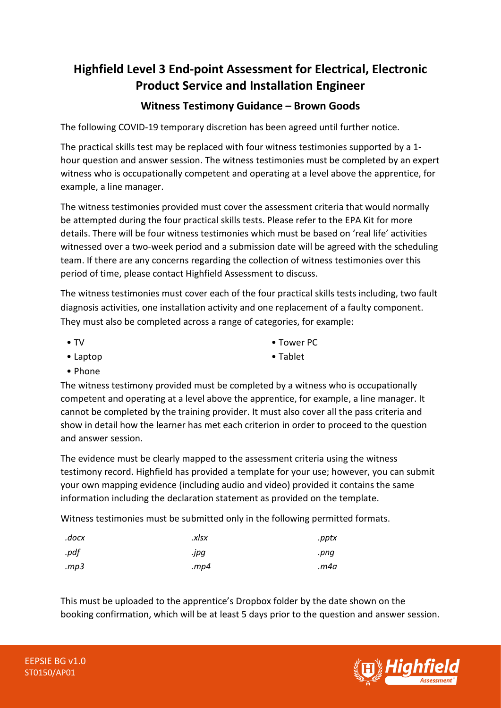## **Highfield Level 3 End-point Assessment for Electrical, Electronic Product Service and Installation Engineer**

## **Witness Testimony Guidance – Brown Goods**

The following COVID-19 temporary discretion has been agreed until further notice.

The practical skills test may be replaced with four witness testimonies supported by a 1 hour question and answer session. The witness testimonies must be completed by an expert witness who is occupationally competent and operating at a level above the apprentice, for example, a line manager.

The witness testimonies provided must cover the assessment criteria that would normally be attempted during the four practical skills tests. Please refer to the EPA Kit for more details. There will be four witness testimonies which must be based on 'real life' activities witnessed over a two-week period and a submission date will be agreed with the scheduling team. If there are any concerns regarding the collection of witness testimonies over this period of time, please contact Highfield Assessment to discuss.

The witness testimonies must cover each of the four practical skills tests including, two fault diagnosis activities, one installation activity and one replacement of a faulty component. They must also be completed across a range of categories, for example:

• TV

• Tower PC

• Laptop

• Tablet

• Phone

The witness testimony provided must be completed by a witness who is occupationally competent and operating at a level above the apprentice, for example, a line manager. It cannot be completed by the training provider. It must also cover all the pass criteria and show in detail how the learner has met each criterion in order to proceed to the question and answer session.

The evidence must be clearly mapped to the assessment criteria using the witness testimony record. Highfield has provided a template for your use; however, you can submit your own mapping evidence (including audio and video) provided it contains the same information including the declaration statement as provided on the template.

Witness testimonies must be submitted only in the following permitted formats.

| .docx | .xlsx | .pptx |
|-------|-------|-------|
| .pdf  | .jpg  | .png  |
| mp3   | mp4.  | m4a.  |

This must be uploaded to the apprentice's Dropbox folder by the date shown on the booking confirmation, which will be at least 5 days prior to the question and answer session.